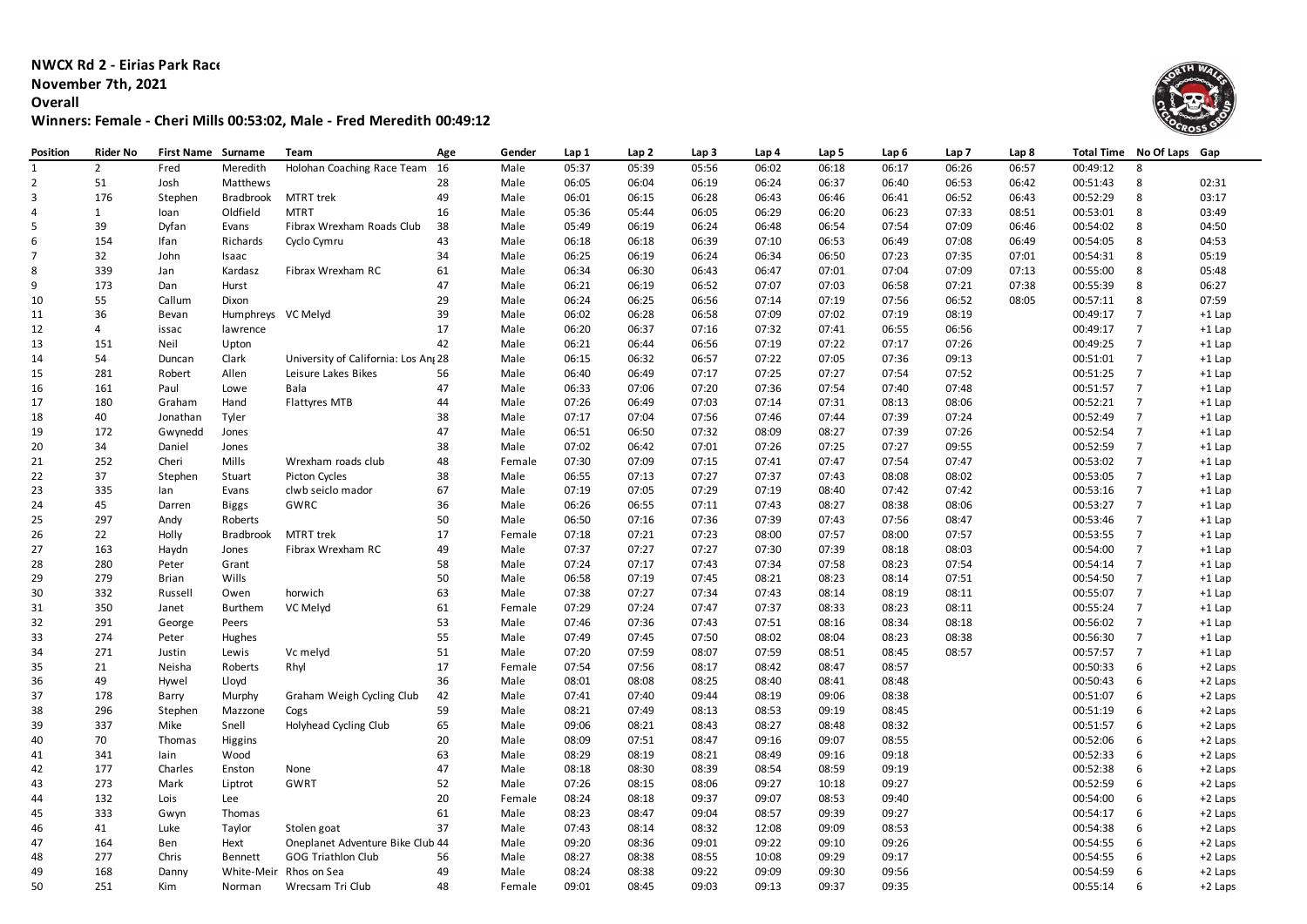**NWCX Rd 2 - Eirias Park Race 3**

**November 7th, 2021**

**Overall**

**Winners: Female - Cheri Mills 00:53:02, Male - Fred Meredith 00:49:12**



| Position       | Rider No       | First Name Surname |                    | Team                                | Age | Gender | Lap 1 | Lap 2 | Lap <sub>3</sub> | Lap 4 | Lap 5 | Lap 6 | Lap 7 | Lap 8 |          | Total Time No Of Laps | Gap      |
|----------------|----------------|--------------------|--------------------|-------------------------------------|-----|--------|-------|-------|------------------|-------|-------|-------|-------|-------|----------|-----------------------|----------|
| $\mathbf{1}$   | $\overline{2}$ | Fred               | Meredith           | Holohan Coaching Race Team          | 16  | Male   | 05:37 | 05:39 | 05:56            | 06:02 | 06:18 | 06:17 | 06:26 | 06:57 | 00:49:12 | 8                     |          |
| $\overline{2}$ | 51             | Josh               | Matthews           |                                     | 28  | Male   | 06:05 | 06:04 | 06:19            | 06:24 | 06:37 | 06:40 | 06:53 | 06:42 | 00:51:43 | 8                     | 02:31    |
| $\overline{3}$ | 176            | Stephen            | <b>Bradbrook</b>   | MTRT trek                           | 49  | Male   | 06:01 | 06:15 | 06:28            | 06:43 | 06:46 | 06:41 | 06:52 | 06:43 | 00:52:29 | 8                     | 03:17    |
| $\overline{4}$ | $\mathbf{1}$   | loan               | Oldfield           | <b>MTRT</b>                         | 16  | Male   | 05:36 | 05:44 | 06:05            | 06:29 | 06:20 | 06:23 | 07:33 | 08:51 | 00:53:01 | 8                     | 03:49    |
| 5              | 39             | Dyfan              | Evans              | Fibrax Wrexham Roads Club           | 38  | Male   | 05:49 | 06:19 | 06:24            | 06:48 | 06:54 | 07:54 | 07:09 | 06:46 | 00:54:02 | 8                     | 04:50    |
| 6              | 154            | Ifan               | Richards           | Cyclo Cymru                         | 43  | Male   | 06:18 | 06:18 | 06:39            | 07:10 | 06:53 | 06:49 | 07:08 | 06:49 | 00:54:05 | 8                     | 04:53    |
| $\overline{7}$ | 32             | John               | Isaac              |                                     | 34  | Male   | 06:25 | 06:19 | 06:24            | 06:34 | 06:50 | 07:23 | 07:35 | 07:01 | 00:54:31 | 8                     | 05:19    |
| 8              | 339            | Jan                | Kardasz            | Fibrax Wrexham RC                   | 61  | Male   | 06:34 | 06:30 | 06:43            | 06:47 | 07:01 | 07:04 | 07:09 | 07:13 | 00:55:00 | 8                     | 05:48    |
| 9              | 173            | Dan                | Hurst              |                                     | 47  | Male   | 06:21 | 06:19 | 06:52            | 07:07 | 07:03 | 06:58 | 07:21 | 07:38 | 00:55:39 | 8                     | 06:27    |
| 10             | 55             | Callum             | Dixon              |                                     | 29  | Male   | 06:24 | 06:25 | 06:56            | 07:14 | 07:19 | 07:56 | 06:52 | 08:05 | 00:57:11 | 8                     | 07:59    |
| 11             | 36             | Bevan              | Humphreys VC Melyd |                                     | 39  | Male   | 06:02 | 06:28 | 06:58            | 07:09 | 07:02 | 07:19 | 08:19 |       | 00:49:17 | $\overline{7}$        | $+1$ Lap |
| 12             | 4              | issac              | lawrence           |                                     | 17  | Male   | 06:20 | 06:37 | 07:16            | 07:32 | 07:41 | 06:55 | 06:56 |       | 00:49:17 | $\overline{7}$        | $+1$ Lap |
| 13             | 151            | Neil               | Upton              |                                     | 42  | Male   | 06:21 | 06:44 | 06:56            | 07:19 | 07:22 | 07:17 | 07:26 |       | 00:49:25 | $\overline{7}$        | $+1$ Lap |
|                | 54             |                    |                    | University of California: Los An 28 |     | Male   | 06:15 | 06:32 | 06:57            | 07:22 | 07:05 | 07:36 | 09:13 |       | 00:51:01 | $\overline{7}$        |          |
| 14             |                | Duncan             | Clark              |                                     |     |        |       | 06:49 | 07:17            | 07:25 | 07:27 | 07:54 | 07:52 |       | 00:51:25 | $\overline{7}$        | $+1$ Lap |
| 15             | 281            | Robert             | Allen              | Leisure Lakes Bikes                 | 56  | Male   | 06:40 |       |                  |       |       |       |       |       |          | $\overline{7}$        | $+1$ Lap |
| 16             | 161            | Paul               | Lowe               | Bala                                | 47  | Male   | 06:33 | 07:06 | 07:20            | 07:36 | 07:54 | 07:40 | 07:48 |       | 00:51:57 |                       | $+1$ Lap |
| 17             | 180            | Graham             | Hand               | Flattyres MTB                       | 44  | Male   | 07:26 | 06:49 | 07:03            | 07:14 | 07:31 | 08:13 | 08:06 |       | 00:52:21 | $\overline{7}$        | $+1$ Lap |
| 18             | 40             | Jonathan           | Tyler              |                                     | 38  | Male   | 07:17 | 07:04 | 07:56            | 07:46 | 07:44 | 07:39 | 07:24 |       | 00:52:49 | $\overline{7}$        | $+1$ Lap |
| 19             | 172            | Gwynedd            | Jones              |                                     | 47  | Male   | 06:51 | 06:50 | 07:32            | 08:09 | 08:27 | 07:39 | 07:26 |       | 00:52:54 | $\overline{7}$        | $+1$ Lap |
| 20             | 34             | Daniel             | Jones              |                                     | 38  | Male   | 07:02 | 06:42 | 07:01            | 07:26 | 07:25 | 07:27 | 09:55 |       | 00:52:59 | $\overline{7}$        | $+1$ Lap |
| 21             | 252            | Cheri              | Mills              | Wrexham roads club                  | 48  | Female | 07:30 | 07:09 | 07:15            | 07:41 | 07:47 | 07:54 | 07:47 |       | 00:53:02 | $\overline{7}$        | $+1$ Lap |
| 22             | 37             | Stephen            | Stuart             | <b>Picton Cycles</b>                | 38  | Male   | 06:55 | 07:13 | 07:27            | 07:37 | 07:43 | 08:08 | 08:02 |       | 00:53:05 | $\overline{7}$        | +1 Lap   |
| 23             | 335            | lan                | Evans              | clwb seiclo mador                   | 67  | Male   | 07:19 | 07:05 | 07:29            | 07:19 | 08:40 | 07:42 | 07:42 |       | 00:53:16 | $\overline{7}$        | $+1$ Lap |
| 24             | 45             | Darren             | Biggs              | GWRC                                | 36  | Male   | 06:26 | 06:55 | 07:11            | 07:43 | 08:27 | 08:38 | 08:06 |       | 00:53:27 | $\overline{7}$        | $+1$ Lap |
| 25             | 297            | Andy               | Roberts            |                                     | 50  | Male   | 06:50 | 07:16 | 07:36            | 07:39 | 07:43 | 07:56 | 08:47 |       | 00:53:46 | $\overline{7}$        | $+1$ Lap |
| 26             | 22             | Holly              | <b>Bradbrook</b>   | <b>MTRT</b> trek                    | 17  | Female | 07:18 | 07:21 | 07:23            | 08:00 | 07:57 | 08:00 | 07:57 |       | 00:53:55 | $\overline{7}$        | $+1$ Lap |
| 27             | 163            | Haydn              | Jones              | Fibrax Wrexham RC                   | 49  | Male   | 07:37 | 07:27 | 07:27            | 07:30 | 07:39 | 08:18 | 08:03 |       | 00:54:00 | $\overline{7}$        | $+1$ Lap |
| 28             | 280            | Peter              | Grant              |                                     | 58  | Male   | 07:24 | 07:17 | 07:43            | 07:34 | 07:58 | 08:23 | 07:54 |       | 00:54:14 | $\overline{7}$        | $+1$ Lap |
| 29             | 279            | <b>Brian</b>       | Wills              |                                     | 50  | Male   | 06:58 | 07:19 | 07:45            | 08:21 | 08:23 | 08:14 | 07:51 |       | 00:54:50 | $\overline{7}$        | $+1$ Lap |
| 30             | 332            | Russell            | Owen               | horwich                             | 63  | Male   | 07:38 | 07:27 | 07:34            | 07:43 | 08:14 | 08:19 | 08:11 |       | 00:55:07 | $\overline{7}$        | $+1$ Lap |
| 31             | 350            | Janet              | <b>Burthem</b>     | VC Melyd                            | 61  | Female | 07:29 | 07:24 | 07:47            | 07:37 | 08:33 | 08:23 | 08:11 |       | 00:55:24 | $\overline{7}$        | $+1$ Lap |
| 32             | 291            | George             | Peers              |                                     | 53  | Male   | 07:46 | 07:36 | 07:43            | 07:51 | 08:16 | 08:34 | 08:18 |       | 00:56:02 | $\overline{7}$        | $+1$ Lap |
| 33             | 274            | Peter              | Hughes             |                                     | 55  | Male   | 07:49 | 07:45 | 07:50            | 08:02 | 08:04 | 08:23 | 08:38 |       | 00:56:30 | $\overline{7}$        | $+1$ Lap |
| 34             | 271            | Justin             | Lewis              | Vc melyd                            | 51  | Male   | 07:20 | 07:59 | 08:07            | 07:59 | 08:51 | 08:45 | 08:57 |       | 00:57:57 | $\overline{7}$        | $+1$ Lap |
| 35             | 21             | Neisha             | Roberts            | Rhyl                                | 17  | Female | 07:54 | 07:56 | 08:17            | 08:42 | 08:47 | 08:57 |       |       | 00:50:33 | 6                     | +2 Laps  |
| 36             | 49             | Hywel              | Lloyd              |                                     | 36  | Male   | 08:01 | 08:08 | 08:25            | 08:40 | 08:41 | 08:48 |       |       | 00:50:43 | 6                     | +2 Laps  |
| 37             | 178            | Barry              | Murphy             | Graham Weigh Cycling Club           | 42  | Male   | 07:41 | 07:40 | 09:44            | 08:19 | 09:06 | 08:38 |       |       | 00:51:07 | 6                     | +2 Laps  |
| 38             | 296            | Stephen            | Mazzone            | Cogs                                | 59  | Male   | 08:21 | 07:49 | 08:13            | 08:53 | 09:19 | 08:45 |       |       | 00:51:19 | 6                     | +2 Laps  |
| 39             | 337            | Mike               | Snell              | Holyhead Cycling Club               | 65  | Male   | 09:06 | 08:21 | 08:43            | 08:27 | 08:48 | 08:32 |       |       | 00:51:57 | 6                     | +2 Laps  |
| 40             | 70             | Thomas             |                    |                                     | 20  | Male   | 08:09 | 07:51 | 08:47            | 09:16 | 09:07 | 08:55 |       |       | 00:52:06 | 6                     | +2 Laps  |
|                |                |                    | Higgins            |                                     | 63  |        |       |       | 08:21            | 08:49 |       |       |       |       |          | 6                     |          |
| 41             | 341            | lain               | Wood               |                                     |     | Male   | 08:29 | 08:19 |                  |       | 09:16 | 09:18 |       |       | 00:52:33 |                       | +2 Laps  |
| 42             | 177            | Charles            | Enston             | None                                | 47  | Male   | 08:18 | 08:30 | 08:39            | 08:54 | 08:59 | 09:19 |       |       | 00:52:38 | 6                     | +2 Laps  |
| 43             | 273            | Mark               | Liptrot            | GWRT                                | 52  | Male   | 07:26 | 08:15 | 08:06            | 09:27 | 10:18 | 09:27 |       |       | 00:52:59 | 6                     | +2 Laps  |
| 44             | 132            | Lois               | Lee                |                                     | 20  | Female | 08:24 | 08:18 | 09:37            | 09:07 | 08:53 | 09:40 |       |       | 00:54:00 | 6                     | +2 Laps  |
| 45             | 333            | Gwyn               | Thomas             |                                     | 61  | Male   | 08:23 | 08:47 | 09:04            | 08:57 | 09:39 | 09:27 |       |       | 00:54:17 | 6                     | +2 Laps  |
| 46             | 41             | Luke               | Taylor             | Stolen goat                         | 37  | Male   | 07:43 | 08:14 | 08:32            | 12:08 | 09:09 | 08:53 |       |       | 00:54:38 | 6                     | +2 Laps  |
| 47             | 164            | Ben                | Hext               | Oneplanet Adventure Bike Club 44    |     | Male   | 09:20 | 08:36 | 09:01            | 09:22 | 09:10 | 09:26 |       |       | 00:54:55 | 6                     | +2 Laps  |
| 48             | 277            | Chris              | <b>Bennett</b>     | <b>GOG Triathlon Club</b>           | 56  | Male   | 08:27 | 08:38 | 08:55            | 10:08 | 09:29 | 09:17 |       |       | 00:54:55 | 6                     | +2 Laps  |
| 49             | 168            | Danny              |                    | White-Meir Rhos on Sea              | 49  | Male   | 08:24 | 08:38 | 09:22            | 09:09 | 09:30 | 09:56 |       |       | 00:54:59 | 6                     | +2 Laps  |
| 50             | 251            | Kim                | Norman             | Wrecsam Tri Club                    | 48  | Female | 09:01 | 08:45 | 09:03            | 09:13 | 09:37 | 09:35 |       |       | 00:55:14 | $\mathsf{6}$          | +2 Laps  |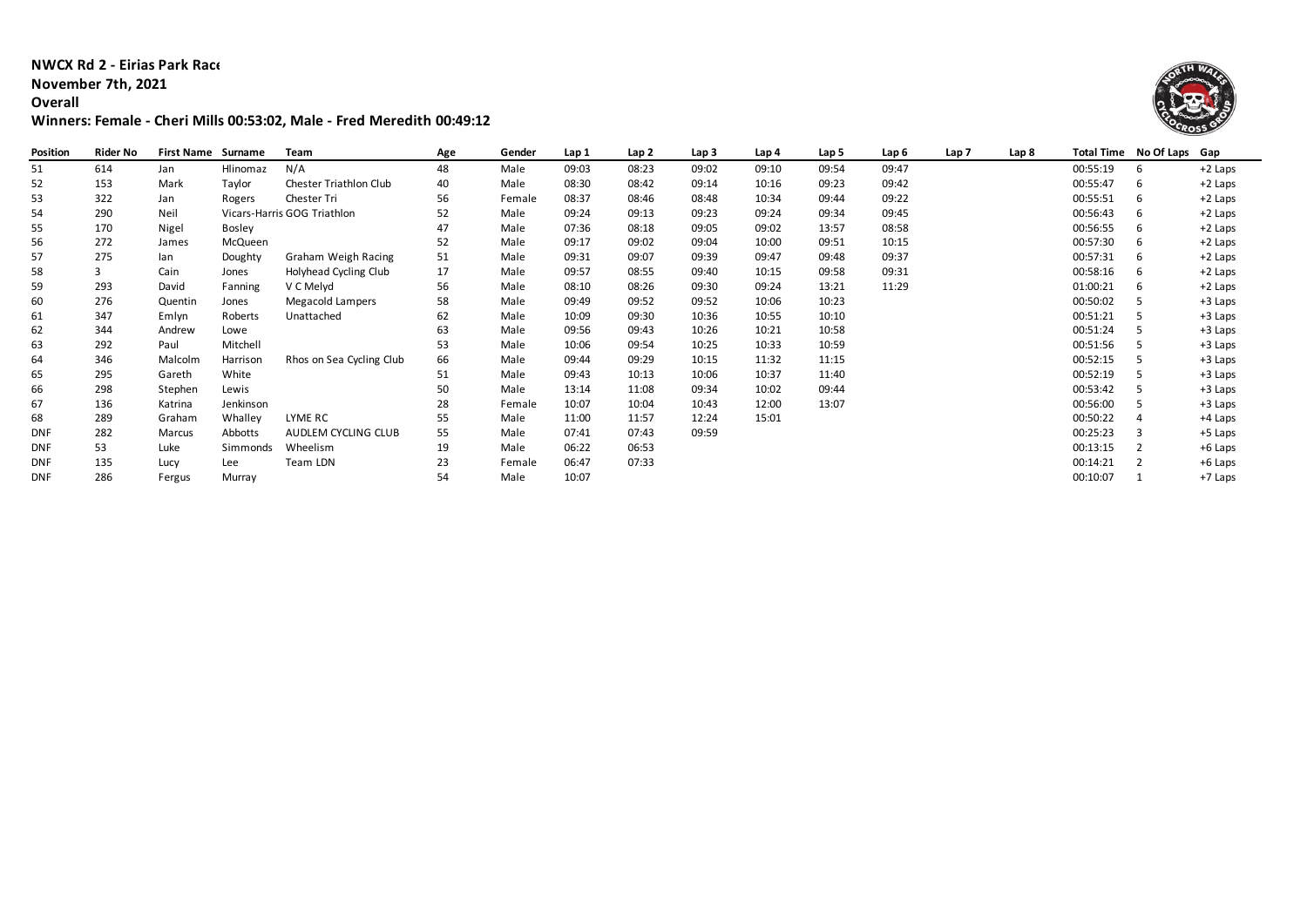## **NWCX Rd 2 - Eirias Park Race**

# **November 7th, 2021**

**Overall**

# **Winners: Female - Cheri Mills 00:53:02, Male - Fred Meredith 00:49:12**



| Position   | Rider No | <b>First Name</b> | Surname   | Team                          | Age | Gender | Lap 1 | Lap 2 | Lap <sub>3</sub> | Lap 4 | Lap 5 | Lap 6 | Lap <sub>7</sub> | Lap 8 |          | Total Time No Of Laps Gap |         |
|------------|----------|-------------------|-----------|-------------------------------|-----|--------|-------|-------|------------------|-------|-------|-------|------------------|-------|----------|---------------------------|---------|
| 51         | 614      | Jan               | Hlinomaz  | N/A                           | 48  | Male   | 09:03 | 08:23 | 09:02            | 09:10 | 09:54 | 09:47 |                  |       | 00:55:19 | 6                         | +2 Laps |
| 52         | 153      | Mark              | Taylor    | <b>Chester Triathlon Club</b> | 40  | Male   | 08:30 | 08:42 | 09:14            | 10:16 | 09:23 | 09:42 |                  |       | 00:55:47 | 6                         | +2 Laps |
| 53         | 322      | Jan               | Rogers    | Chester Tri                   | 56  | Female | 08:37 | 08:46 | 08:48            | 10:34 | 09:44 | 09:22 |                  |       | 00:55:51 | 6                         | +2 Laps |
| 54         | 290      | Neil              |           | Vicars-Harris GOG Triathlon   | 52  | Male   | 09:24 | 09:13 | 09:23            | 09:24 | 09:34 | 09:45 |                  |       | 00:56:43 | 6                         | +2 Laps |
| 55         | 170      | Nigel             | Bosley    |                               | 47  | Male   | 07:36 | 08:18 | 09:05            | 09:02 | 13:57 | 08:58 |                  |       | 00:56:55 | 6                         | +2 Laps |
| 56         | 272      | James             | McQueen   |                               | 52  | Male   | 09:17 | 09:02 | 09:04            | 10:00 | 09:51 | 10:15 |                  |       | 00:57:30 | 6                         | +2 Laps |
| 57         | 275      | lan               | Doughty   | Graham Weigh Racing           | 51  | Male   | 09:31 | 09:07 | 09:39            | 09:47 | 09:48 | 09:37 |                  |       | 00:57:31 | 6                         | +2 Laps |
| 58         |          | Cain              | Jones     | Holyhead Cycling Club         | 17  | Male   | 09:57 | 08:55 | 09:40            | 10:15 | 09:58 | 09:31 |                  |       | 00:58:16 | 6                         | +2 Laps |
| 59         | 293      | David             | Fanning   | V C Melyd                     | 56  | Male   | 08:10 | 08:26 | 09:30            | 09:24 | 13:21 | 11:29 |                  |       | 01:00:21 | 6                         | +2 Laps |
| 60         | 276      | Quentin           | Jones     | <b>Megacold Lampers</b>       | 58  | Male   | 09:49 | 09:52 | 09:52            | 10:06 | 10:23 |       |                  |       | 00:50:02 |                           | +3 Laps |
| 61         | 347      | Emlyn             | Roberts   | Unattached                    | 62  | Male   | 10:09 | 09:30 | 10:36            | 10:55 | 10:10 |       |                  |       | 00:51:21 |                           | +3 Laps |
| 62         | 344      | Andrew            | Lowe      |                               | 63  | Male   | 09:56 | 09:43 | 10:26            | 10:21 | 10:58 |       |                  |       | 00:51:24 |                           | +3 Laps |
| 63         | 292      | Paul              | Mitchell  |                               | 53  | Male   | 10:06 | 09:54 | 10:25            | 10:33 | 10:59 |       |                  |       | 00:51:56 |                           | +3 Laps |
| 64         | 346      | Malcolm           | Harrison  | Rhos on Sea Cycling Club      | 66  | Male   | 09:44 | 09:29 | 10:15            | 11:32 | 11:15 |       |                  |       | 00:52:15 |                           | +3 Laps |
| 65         | 295      | Gareth            | White     |                               | 51  | Male   | 09:43 | 10:13 | 10:06            | 10:37 | 11:40 |       |                  |       | 00:52:19 |                           | +3 Laps |
| 66         | 298      | Stephen           | Lewis     |                               | 50  | Male   | 13:14 | 11:08 | 09:34            | 10:02 | 09:44 |       |                  |       | 00:53:42 |                           | +3 Laps |
| 67         | 136      | Katrina           | Jenkinson |                               | 28  | Female | 10:07 | 10:04 | 10:43            | 12:00 | 13:07 |       |                  |       | 00:56:00 |                           | +3 Laps |
| 68         | 289      | Graham            | Whalley   | LYME RC                       | 55  | Male   | 11:00 | 11:57 | 12:24            | 15:01 |       |       |                  |       | 00:50:22 |                           | +4 Laps |
| <b>DNF</b> | 282      | Marcus            | Abbotts   | AUDLEM CYCLING CLUB           | 55  | Male   | 07:41 | 07:43 | 09:59            |       |       |       |                  |       | 00:25:23 |                           | +5 Laps |
| <b>DNF</b> | 53       | Luke              | Simmonds  | Wheelism                      | 19  | Male   | 06:22 | 06:53 |                  |       |       |       |                  |       | 00:13:15 |                           | +6 Laps |
| <b>DNF</b> | 135      | Lucy              | Lee       | Team LDN                      | 23  | Female | 06:47 | 07:33 |                  |       |       |       |                  |       | 00:14:21 |                           | +6 Laps |
| <b>DNF</b> | 286      | Fergus            | Murray    |                               | 54  | Male   | 10:07 |       |                  |       |       |       |                  |       | 00:10:07 |                           | +7 Laps |
|            |          |                   |           |                               |     |        |       |       |                  |       |       |       |                  |       |          |                           |         |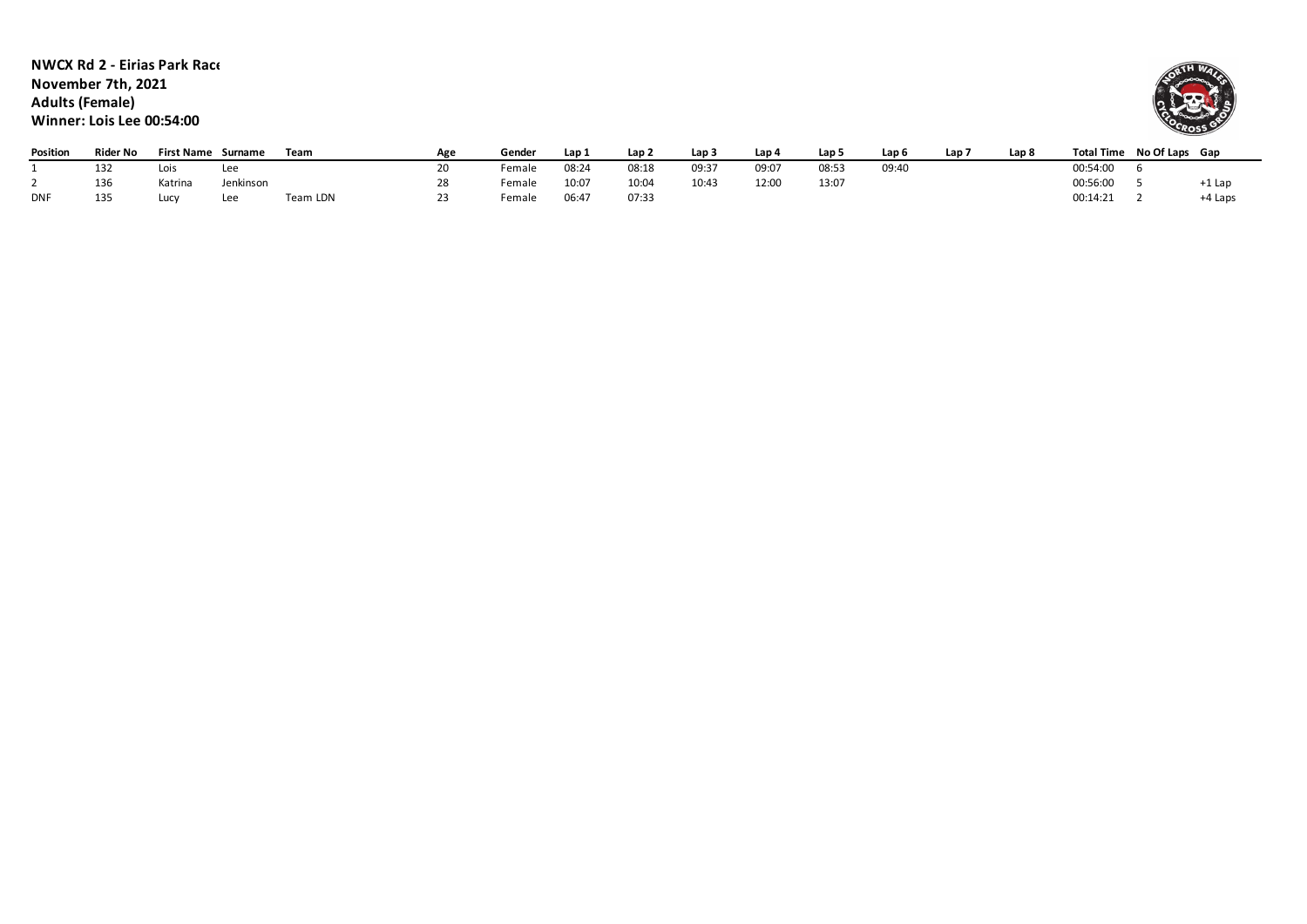#### **NWCX Rd 2 - Eirias Park Race November 7th, 2021 Adults (Female) Winner: Lois Lee 00:54:00**



| Position   | Rider No | <b>First Name</b> | Surname   | Team     | Δσε | Gender | Lap : | Lap 2 | Lap 3 | Lap 4 | Lap 5 | Lap 6 | Lap i | Lap 8 | <b>Total Time</b> | No Of Laps Gap |          |
|------------|----------|-------------------|-----------|----------|-----|--------|-------|-------|-------|-------|-------|-------|-------|-------|-------------------|----------------|----------|
|            | 132      | Lois              | Lee       |          |     | Female | 08:24 | 08:18 | 09:3' | 09:07 | 08:5. | 09:40 |       |       | 00:54:00          |                |          |
|            | 136      | Katrina           | Jenkinson |          |     | Female | 10:07 | 10:0  | 10:43 | 12:00 | 13:07 |       |       |       | 00:56:00          |                | $+1$ Lar |
| <b>DNF</b> | 135      | Lucy              | Lee       | Team LDN |     | Female | 06:47 | 07:33 |       |       |       |       |       |       | 00:14:21          |                | +4 Laps  |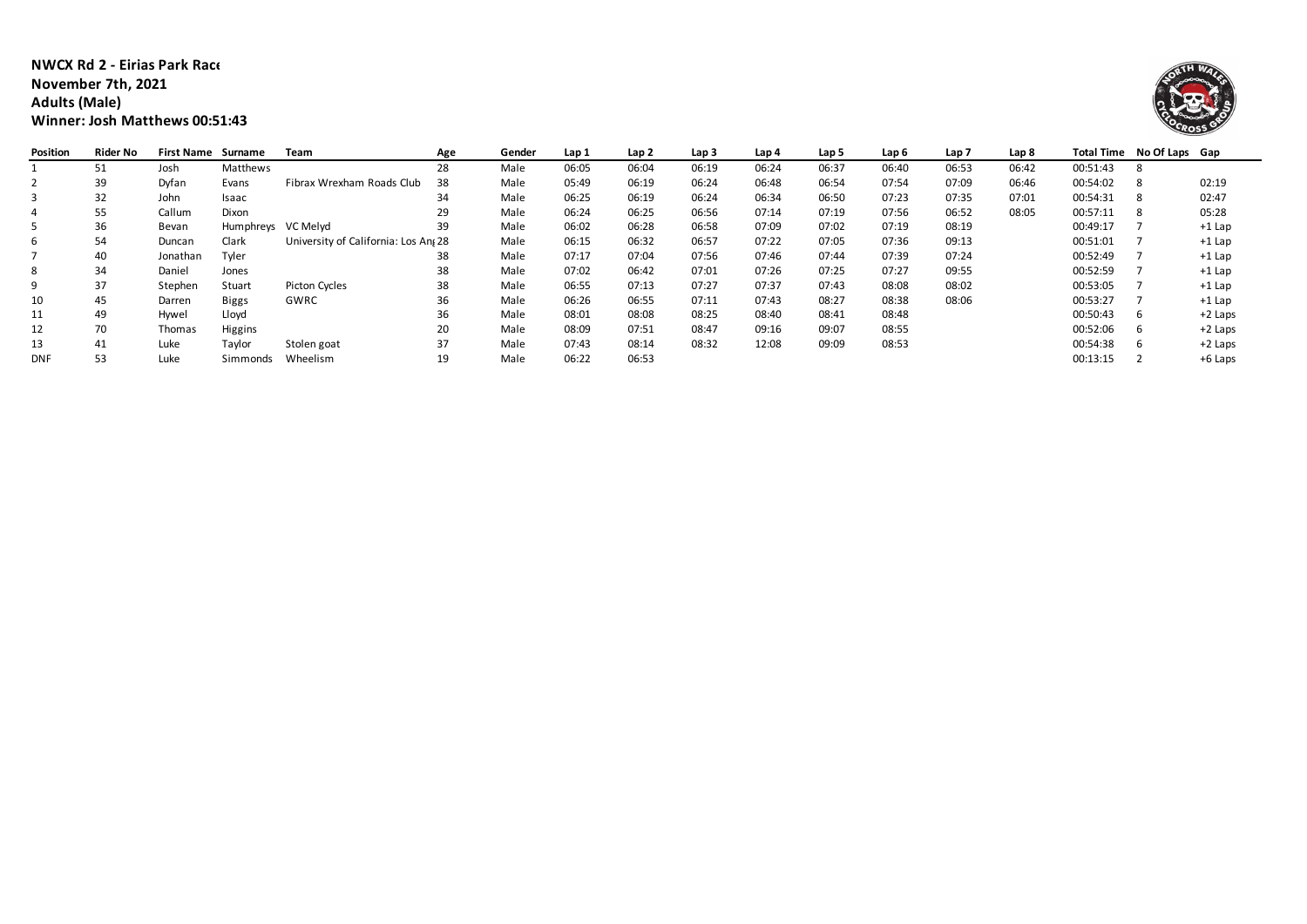### **NWCX Rd 2 - Eirias Park Race 3 November 7th, 2021 Adults (Male) Winner: Josh Matthews 00:51:43**



| Position   | Rider No | <b>First Name</b> | Surname            | Team                                | Age | Gender | Lap 1 | Lap 2 | Lap 3 | Lap 4 | Lap 5 | Lap 6 | Lap <sub>7</sub> | Lap 8 |          | Total Time No Of Laps Gap |           |
|------------|----------|-------------------|--------------------|-------------------------------------|-----|--------|-------|-------|-------|-------|-------|-------|------------------|-------|----------|---------------------------|-----------|
|            | 51       | Josh              | Matthews           |                                     | 28  | Male   | 06:05 | 06:04 | 06:19 | 06:24 | 06:37 | 06:40 | 06:53            | 06:42 | 00:51:43 | 8                         |           |
|            | 39       | Dyfan             | Evans              | Fibrax Wrexham Roads Club           | 38  | Male   | 05:49 | 06:19 | 06:24 | 06:48 | 06:54 | 07:54 | 07:09            | 06:46 | 00:54:02 |                           | 02:19     |
|            | 32       | John              | Isaac              |                                     | 34  | Male   | 06:25 | 06:19 | 06:24 | 06:34 | 06:50 | 07:23 | 07:35            | 07:01 | 00:54:31 |                           | 02:47     |
| 4          | 55       | Callum            | Dixon              |                                     | 29  | Male   | 06:24 | 06:25 | 06:56 | 07:14 | 07:19 | 07:56 | 06:52            | 08:05 | 00:57:11 | -8                        | 05:28     |
|            | 36       | Bevan             | Humphreys VC Melyd |                                     | 39  | Male   | 06:02 | 06:28 | 06:58 | 07:09 | 07:02 | 07:19 | 08:19            |       | 00:49:17 |                           | $+1$ Lap  |
| b          | 54       | Duncan            | Clark              | University of California: Los An 28 |     | Male   | 06:15 | 06:32 | 06:57 | 07:22 | 07:05 | 07:36 | 09:13            |       | 00:51:01 |                           | $+1$ Lap  |
|            | 40       | Jonathan          | Tyler              |                                     | 38  | Male   | 07:17 | 07:04 | 07:56 | 07:46 | 07:44 | 07:39 | 07:24            |       | 00:52:49 |                           | $+1$ Lap  |
| 8          | 34       | Daniel            | Jones              |                                     | 38  | Male   | 07:02 | 06:42 | 07:01 | 07:26 | 07:25 | 07:27 | 09:55            |       | 00:52:59 |                           | $+1$ Lap  |
| 9          | 37       | Stephen           | Stuart             | Picton Cycles                       | 38  | Male   | 06:55 | 07:13 | 07:27 | 07:37 | 07:43 | 08:08 | 08:02            |       | 00:53:05 |                           | $+1$ Lap  |
| 10         | 45       | Darren            | <b>Biggs</b>       | GWRC                                | 36  | Male   | 06:26 | 06:55 | 07:11 | 07:43 | 08:27 | 08:38 | 08:06            |       | 00:53:27 |                           | $+1$ Lap  |
| 11         | 49       | Hywel             | Lloyd              |                                     | 36  | Male   | 08:01 | 08:08 | 08:25 | 08:40 | 08:41 | 08:48 |                  |       | 00:50:43 | b                         | $+2$ Laps |
| 12         | 70       | Thomas            | Higgins            |                                     | 20  | Male   | 08:09 | 07:51 | 08:47 | 09:16 | 09:07 | 08:55 |                  |       | 00:52:06 | h                         | $+2$ Laps |
| 13         | 41       | Luke              | Taylor             | Stolen goat                         | 37  | Male   | 07:43 | 08:14 | 08:32 | 12:08 | 09:09 | 08:53 |                  |       | 00:54:38 |                           | +2 Laps   |
| <b>DNF</b> | 53       | Luke              | Simmonds           | Wheelism                            | 19  | Male   | 06:22 | 06:53 |       |       |       |       |                  |       | 00:13:15 |                           | +6 Laps   |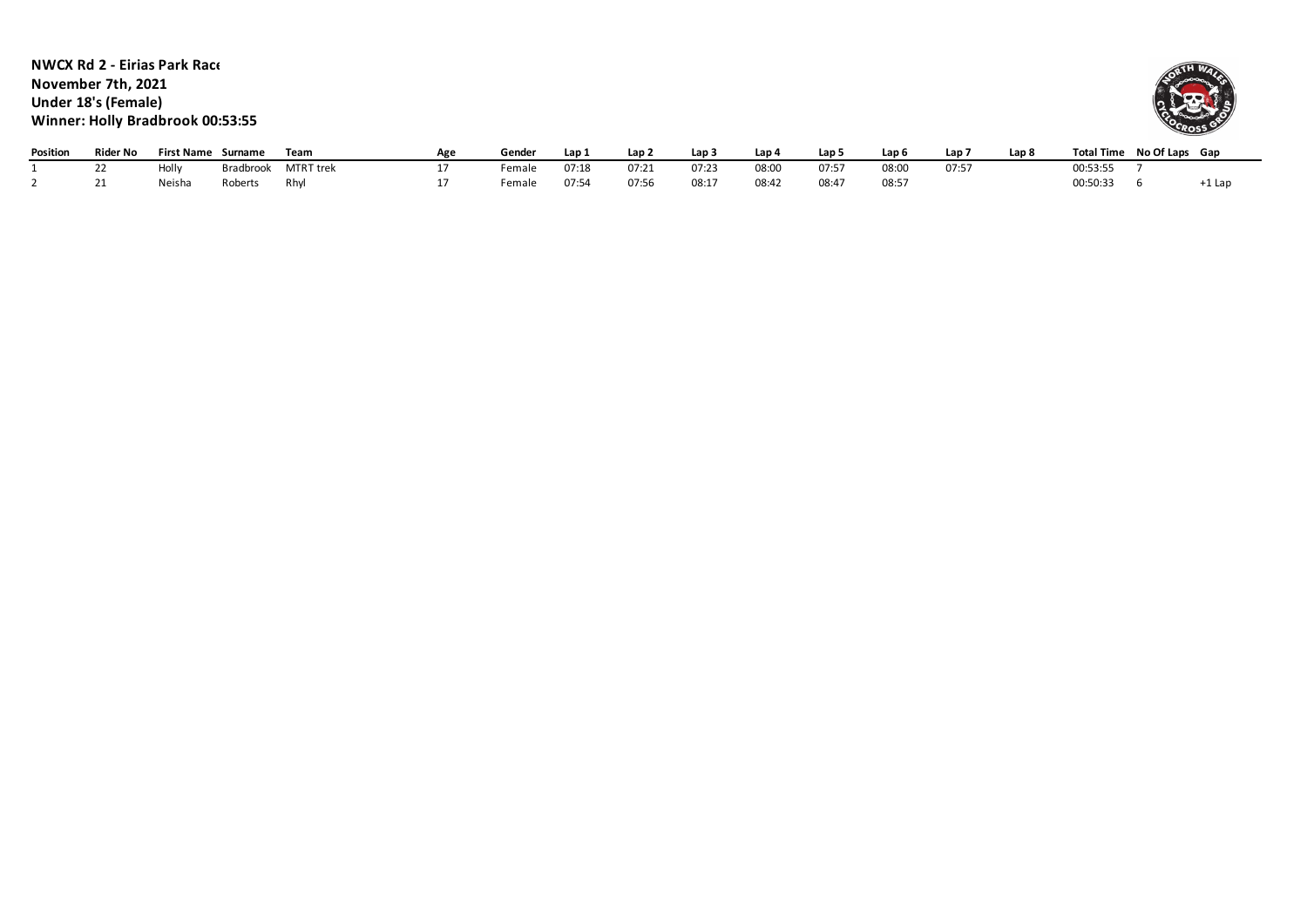**NWCX Rd 2 - Eirias Park Race 3 November 7th, 2021 Under 18's (Female) Winner: Holly Bradbrook 00:53:55**



| Position | Rider No  | <b>First Name</b> | Surname   | Team      | Age | Gender             |       | Lap 2 | Lap 3 | Lap 4 | Lap 5 | Lap <sub>6</sub> | Lap <sup>-</sup> | Lap 8 | Total Time No Of Laps Gap |          |
|----------|-----------|-------------------|-----------|-----------|-----|--------------------|-------|-------|-------|-------|-------|------------------|------------------|-------|---------------------------|----------|
|          | <u>__</u> | Holly             | Bradbrook | MTRT trek |     | Female             | 07:18 | 07:21 | 07:23 | 08:00 | 07:5  | 08:00            | 07:57            |       | 00:53:55                  |          |
|          |           | Neisha            | Roberts   | Rhvl      |     | <sup>⊏</sup> emale | 07:54 | 07:56 | 08:1  | 08:42 | 08:47 | 08:57            |                  |       | 00:50:33                  | $+1$ Lap |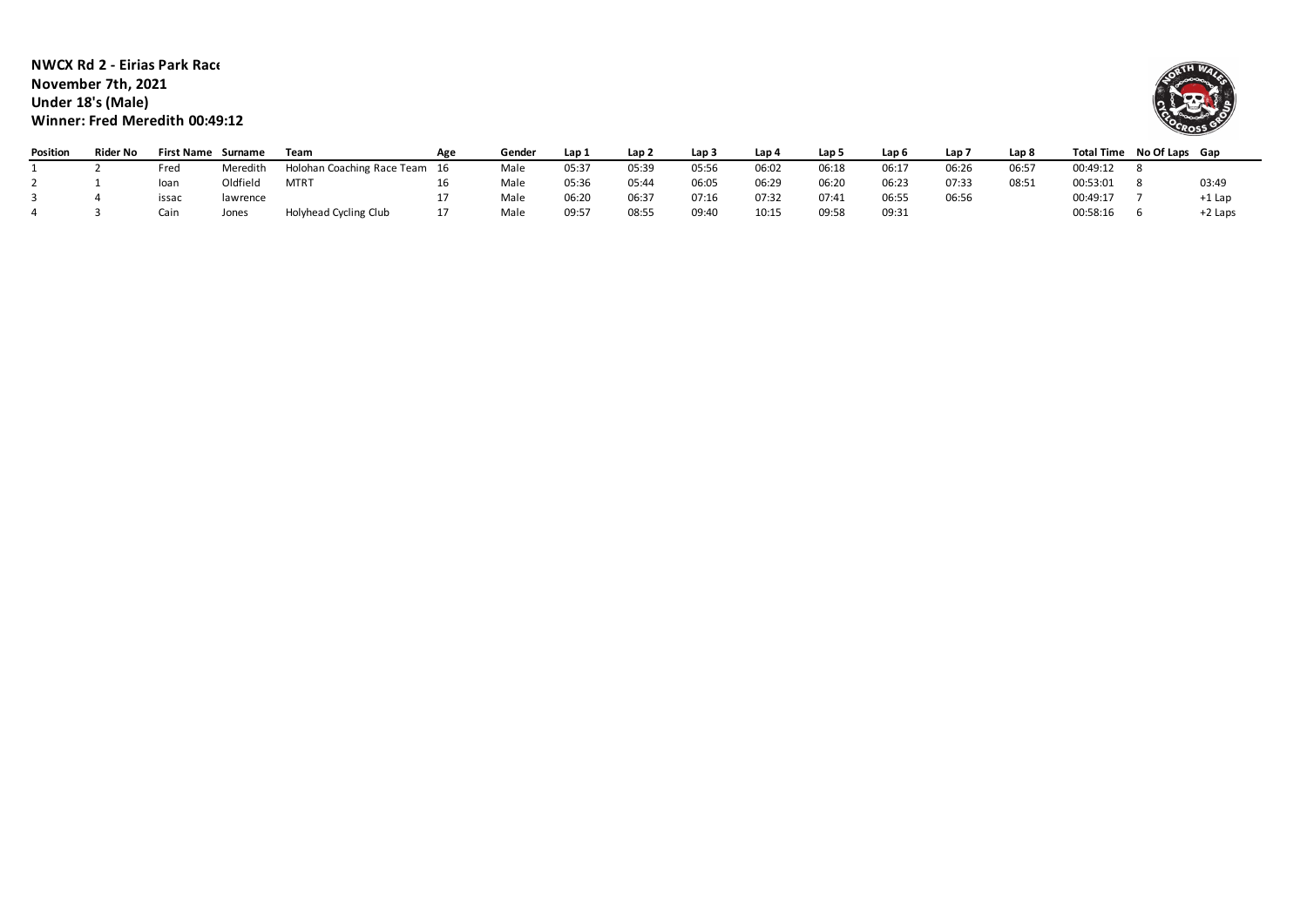### **NWCX Rd 2 - Eirias Park Race November 7th, 2021 Under 18's (Male) Winner: Fred Meredith 00:49:12**



| Position | <b>Rider No</b> | First Name Surname |          | Team                          | Age | Gender | Lap 1 | Lap 2 | Lap <sub>3</sub> | Lap 4 | Lap 5 | Lap 6 | Lap 7 | Lap 8 | Total Time | No Of Laps Gap |         |
|----------|-----------------|--------------------|----------|-------------------------------|-----|--------|-------|-------|------------------|-------|-------|-------|-------|-------|------------|----------------|---------|
|          |                 | Fred               | Meredith | Holohan Coaching Race Team 16 |     | Male   | 05:37 | 05:39 | 05:56            | 06:02 | 06:18 | 06:1  | 06:26 | 06:5  | 00:49:12   |                |         |
|          |                 | loan               | Oldfield | MTR <sup>-</sup>              |     | Male   | 05:36 | 05:44 | 06:05            | 06:29 | 06:20 | 06:23 | 07:33 | 08:51 | 00:53:01   |                | 03:49   |
|          |                 | issac              | lawrence |                               |     | Male   | 06:20 | 06:37 | 07:16            | 07:32 | 07:41 | 06:55 | 06:56 |       | 00:49:17   |                | +1 Lar  |
|          |                 | Cain               | Jones    | Holyhead Cycling Club         |     | Male   | 09:57 | 08:55 | 09:40            | 10:15 | 09:58 | 09:31 |       |       | 00:58:16   |                | +2 Laps |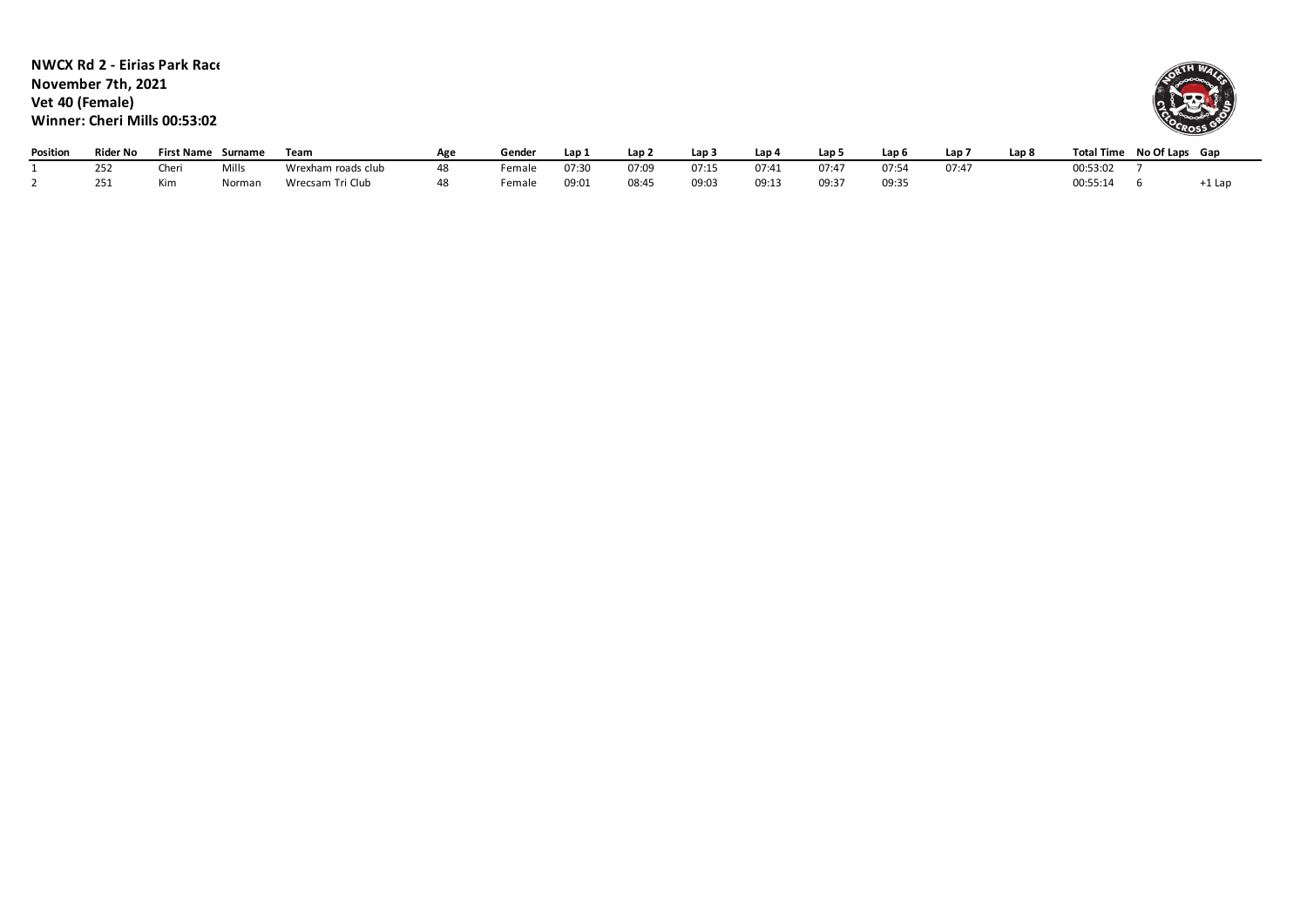**NWCX Rd 2 - Eirias Park Race 3 November 7th, 2021 Vet 40 (Female) Winner: Cheri Mills 00:53:02**



| Position | Rider No   | <b>First Name</b> | Surname | Team               | Ag. | Gende. | Lap   | Lan . | Lap : | Lap <sub>c</sub> | Lap!       | Lap 6                 | Lap   | Lap & | <b>Total Time</b> | No Of Laps | Gap    |
|----------|------------|-------------------|---------|--------------------|-----|--------|-------|-------|-------|------------------|------------|-----------------------|-------|-------|-------------------|------------|--------|
|          | nr:<br>ےرے | ™er<br>ושונ       | Mill:   | Wrexham roads club |     | Female | 07:30 | 07:09 | 07:15 | 07:41            | 07:47      | 07.5                  | 07:47 |       | 00:53:02          |            |        |
|          | ᅩJ         | Kim               | Normar  | Wrecsam Tri Club   |     | Female | 09:07 | 08:45 | 09:03 | 09:13            | $09:3^{-}$ | 09.31<br><b>UJ.J.</b> |       |       | 00:55:14          |            | ∙⊥ ∟di |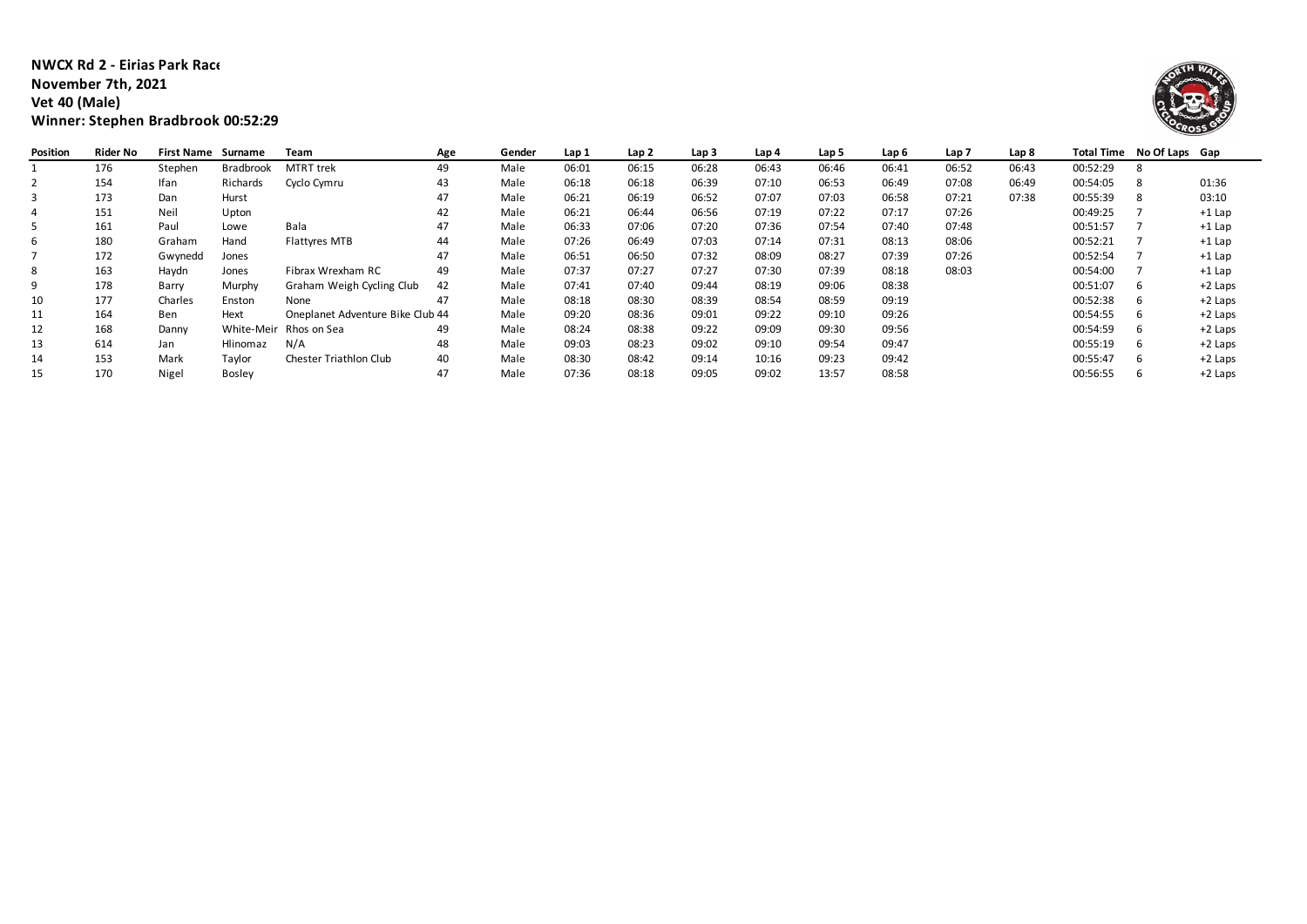#### **NWCX Rd 2 - Eirias Park Race 3 November 7th, 2021 Vet 40 (Male) Winner: Stephen Bradbrook 00:52:29**



| Position | Rider No | <b>First Name</b> | Surname          | Team                             | Age | Gender | Lap 1 | Lap 2 | Lap 3 | Lap 4 | Lap 5 | Lap 6 | Lap <sub>7</sub> | Lap 8 |          | Total Time No Of Laps Gap |           |
|----------|----------|-------------------|------------------|----------------------------------|-----|--------|-------|-------|-------|-------|-------|-------|------------------|-------|----------|---------------------------|-----------|
|          | 176      | Stephen           | <b>Bradbrook</b> | <b>MTRT</b> trek                 | 49  | Male   | 06:01 | 06:15 | 06:28 | 06:43 | 06:46 | 06:41 | 06:52            | 06:43 | 00:52:29 |                           |           |
|          | 154      | Ifan              | Richards         | Cyclo Cymru                      | 43  | Male   | 06:18 | 06:18 | 06:39 | 07:10 | 06:53 | 06:49 | 07:08            | 06:49 | 00:54:05 |                           | 01:36     |
| 3        | 173      | Dan               | Hurst            |                                  | 47  | Male   | 06:21 | 06:19 | 06:52 | 07:07 | 07:03 | 06:58 | 07:21            | 07:38 | 00:55:39 |                           | 03:10     |
|          | 151      | Neil              | Upton            |                                  | 42  | Male   | 06:21 | 06:44 | 06:56 | 07:19 | 07:22 | 07:17 | 07:26            |       | 00:49:25 |                           | $+1$ Lap  |
|          | 161      | Paul              | Lowe             | Bala                             | 47  | Male   | 06:33 | 07:06 | 07:20 | 07:36 | 07:54 | 07:40 | 07:48            |       | 00:51:57 |                           | $+1$ Lap  |
| 6        | 180      | Graham            | Hand             | <b>Flattyres MTB</b>             | 44  | Male   | 07:26 | 06:49 | 07:03 | 07:14 | 07:31 | 08:13 | 08:06            |       | 00:52:21 |                           | $+1$ Lap  |
|          | 172      | Gwynedd           | Jones            |                                  | 47  | Male   | 06:51 | 06:50 | 07:32 | 08:09 | 08:27 | 07:39 | 07:26            |       | 00:52:54 |                           | $+1$ Lap  |
| 8        | 163      | Haydn             | Jones            | Fibrax Wrexham RC                | 49  | Male   | 07:37 | 07:27 | 07:27 | 07:30 | 07:39 | 08:18 | 08:03            |       | 00:54:00 |                           | $+1$ Lap  |
|          | 178      | Barry             | Murphy           | Graham Weigh Cycling Club        | 42  | Male   | 07:41 | 07:40 | 09:44 | 08:19 | 09:06 | 08:38 |                  |       | 00:51:07 | h                         | $+2$ Laps |
|          | 177      | Charles           | Enston           | None                             | 47  | Male   | 08:18 | 08:30 | 08:39 | 08:54 | 08:59 | 09:19 |                  |       | 00:52:38 |                           | +2 Laps   |
| 11       | 164      | Ben               | Hext             | Oneplanet Adventure Bike Club 44 |     | Male   | 09:20 | 08:36 | 09:01 | 09:22 | 09:10 | 09:26 |                  |       | 00:54:55 | h                         | +2 Laps   |
| 12       | 168      | Danny             |                  | White-Meir Rhos on Sea           | 49  | Male   | 08:24 | 08:38 | 09:22 | 09:09 | 09:30 | 09:56 |                  |       | 00:54:59 | h                         | +2 Laps   |
| 13       | 614      | Jan               | Hlinomaz         | N/A                              | 48  | Male   | 09:03 | 08:23 | 09:02 | 09:10 | 09:54 | 09:47 |                  |       | 00:55:19 |                           | $+2$ Laps |
| 14       | 153      | Mark              | Taylor           | Chester Triathlon Club           | 40  | Male   | 08:30 | 08:42 | 09:14 | 10:16 | 09:23 | 09:42 |                  |       | 00:55:47 | h                         | +2 Laps   |
| 15       | 170      | Nigel             | <b>Bosley</b>    |                                  | 47  | Male   | 07:36 | 08:18 | 09:05 | 09:02 | 13:57 | 08:58 |                  |       | 00:56:55 |                           | $+2$ Laps |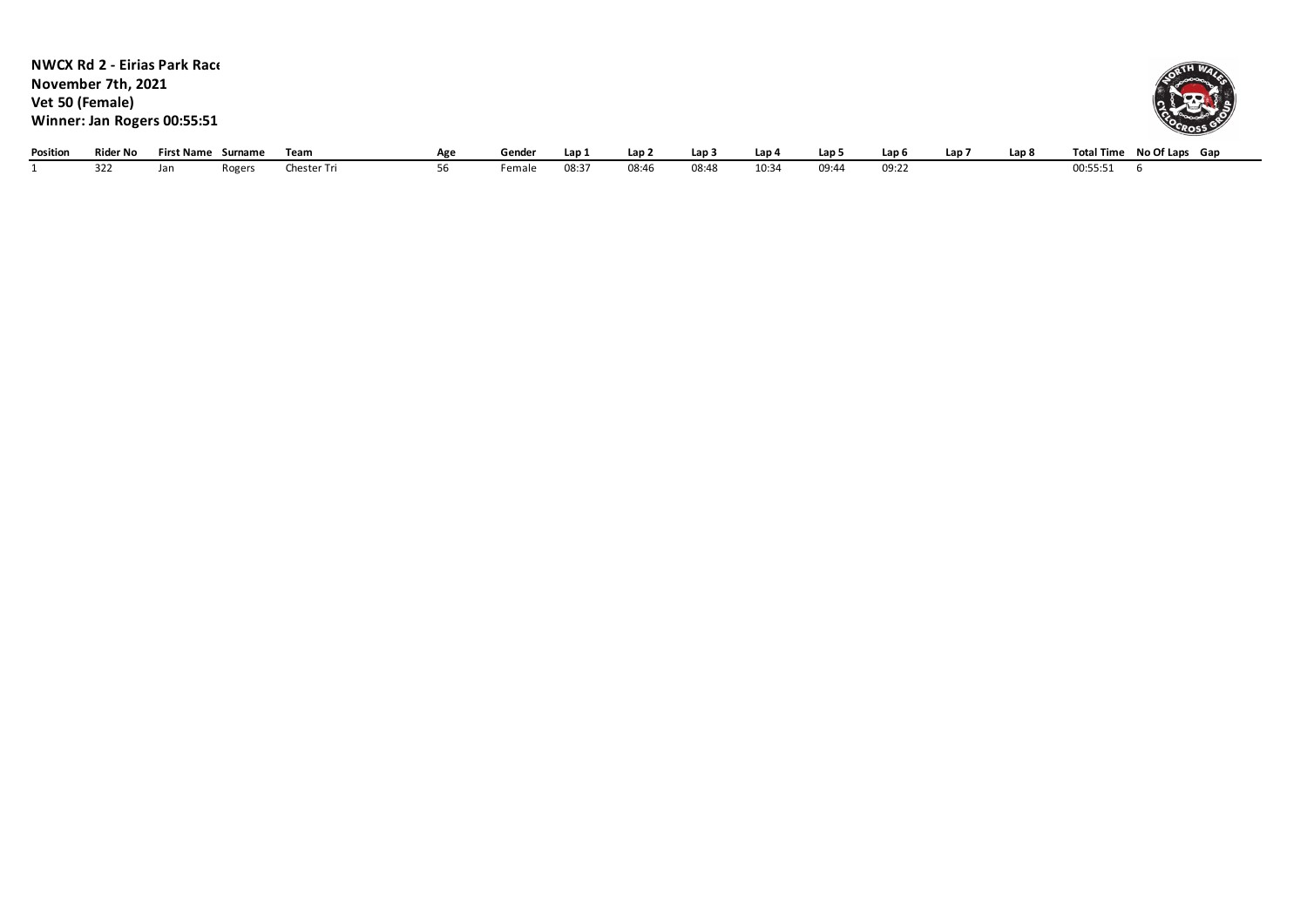|                 |                    | <b>NWCX Rd 2 - Eirias Park Race</b> |        |             |     |        |       |                  |       |       |       |       |                  |       |                           |
|-----------------|--------------------|-------------------------------------|--------|-------------|-----|--------|-------|------------------|-------|-------|-------|-------|------------------|-------|---------------------------|
|                 | November 7th, 2021 |                                     |        |             |     |        |       |                  |       |       |       |       |                  |       |                           |
| Vet 50 (Female) |                    |                                     |        |             |     |        |       |                  |       |       |       |       |                  |       |                           |
|                 |                    | Winner: Jan Rogers 00:55:51         |        |             |     |        |       |                  |       |       |       |       |                  |       | <b>VOCROSS</b>            |
| Position        | Rider No           | First Name Surname                  |        | Team        | Age | Gender | Lap 1 | Lap <sub>2</sub> | Lap 3 | Lap 4 | Lap 5 | Lap 6 | Lap <sub>7</sub> | Lap 8 | Total Time No Of Laps Gap |
|                 | 322                | Jan                                 | Rogers | Chester Tri | 56  | Female | 08:37 | 08:46            | 08:48 | 10:34 | 09:44 | 09:22 |                  |       | 00:55:51                  |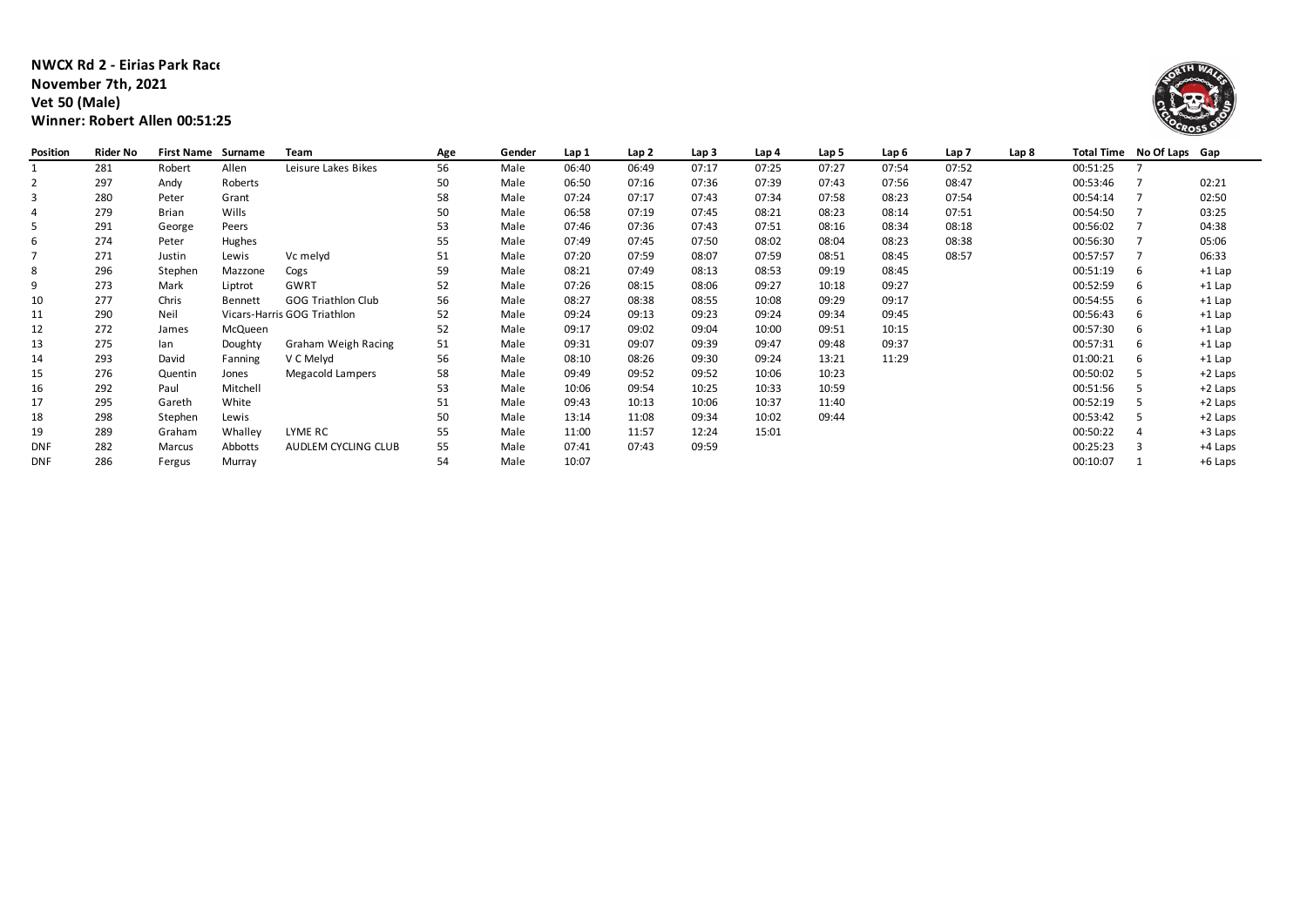### **NWCX Rd 2 - Eirias Park Race 3 November 7th, 2021 Vet 50 (Male) Winner: Robert Allen 00:51:25**



| Position   | <b>Rider No</b> | <b>First Name</b> | Surname  | Team                        | Age | Gender | Lap 1 | Lap <sub>2</sub> | Lap 3 | Lap 4 | Lap 5 | Lap 6 | Lap <sub>7</sub> | Lap 8 |          | Total Time No Of Laps Gap |          |
|------------|-----------------|-------------------|----------|-----------------------------|-----|--------|-------|------------------|-------|-------|-------|-------|------------------|-------|----------|---------------------------|----------|
|            | 281             | Robert            | Allen    | Leisure Lakes Bikes         | 56  | Male   | 06:40 | 06:49            | 07:17 | 07:25 | 07:27 | 07:54 | 07:52            |       | 00:51:25 |                           |          |
| 2          | 297             | Andy              | Roberts  |                             | 50  | Male   | 06:50 | 07:16            | 07:36 | 07:39 | 07:43 | 07:56 | 08:47            |       | 00:53:46 |                           | 02:21    |
| -3         | 280             | Peter             | Grant    |                             | 58  | Male   | 07:24 | 07:17            | 07:43 | 07:34 | 07:58 | 08:23 | 07:54            |       | 00:54:14 |                           | 02:50    |
|            | 279             | Brian             | Wills    |                             | 50  | Male   | 06:58 | 07:19            | 07:45 | 08:21 | 08:23 | 08:14 | 07:51            |       | 00:54:50 |                           | 03:25    |
| -5         | 291             | George            | Peers    |                             | 53  | Male   | 07:46 | 07:36            | 07:43 | 07:51 | 08:16 | 08:34 | 08:18            |       | 00:56:02 |                           | 04:38    |
| 6          | 274             | Peter             | Hughes   |                             | 55  | Male   | 07:49 | 07:45            | 07:50 | 08:02 | 08:04 | 08:23 | 08:38            |       | 00:56:30 |                           | 05:06    |
|            | 271             | Justin            | Lewis    | Vc melyd                    | 51  | Male   | 07:20 | 07:59            | 08:07 | 07:59 | 08:51 | 08:45 | 08:57            |       | 00:57:57 |                           | 06:33    |
| 8          | 296             | Stephen           | Mazzone  | Cogs                        | 59  | Male   | 08:21 | 07:49            | 08:13 | 08:53 | 09:19 | 08:45 |                  |       | 00:51:19 | 6                         | $+1$ Lap |
| 9          | 273             | Mark              | Liptrot  | GWRT                        | 52  | Male   | 07:26 | 08:15            | 08:06 | 09:27 | 10:18 | 09:27 |                  |       | 00:52:59 | 6                         | $+1$ Lap |
| 10         | 277             | Chris             | Bennett  | <b>GOG Triathlon Club</b>   | 56  | Male   | 08:27 | 08:38            | 08:55 | 10:08 | 09:29 | 09:17 |                  |       | 00:54:55 | 6                         | $+1$ Lap |
| 11         | 290             | Neil              |          | Vicars-Harris GOG Triathlon | 52  | Male   | 09:24 | 09:13            | 09:23 | 09:24 | 09:34 | 09:45 |                  |       | 00:56:43 | 6                         | $+1$ Lap |
| 12         | 272             | James             | McQueen  |                             | 52  | Male   | 09:17 | 09:02            | 09:04 | 10:00 | 09:51 | 10:15 |                  |       | 00:57:30 | 6                         | $+1$ Lap |
| 13         | 275             | lan               | Doughty  | Graham Weigh Racing         | 51  | Male   | 09:31 | 09:07            | 09:39 | 09:47 | 09:48 | 09:37 |                  |       | 00:57:31 | 6                         | $+1$ Lap |
| 14         | 293             | David             | Fanning  | V C Melyd                   | 56  | Male   | 08:10 | 08:26            | 09:30 | 09:24 | 13:21 | 11:29 |                  |       | 01:00:21 | 6                         | $+1$ Lap |
| 15         | 276             | Quentin           | Jones    | Megacold Lampers            | 58  | Male   | 09:49 | 09:52            | 09:52 | 10:06 | 10:23 |       |                  |       | 00:50:02 |                           | +2 Laps  |
| 16         | 292             | Paul              | Mitchell |                             | 53  | Male   | 10:06 | 09:54            | 10:25 | 10:33 | 10:59 |       |                  |       | 00:51:56 |                           | +2 Laps  |
| 17         | 295             | Gareth            | White    |                             | 51  | Male   | 09:43 | 10:13            | 10:06 | 10:37 | 11:40 |       |                  |       | 00:52:19 |                           | +2 Laps  |
| 18         | 298             | Stephen           | Lewis    |                             | 50  | Male   | 13:14 | 11:08            | 09:34 | 10:02 | 09:44 |       |                  |       | 00:53:42 |                           | +2 Laps  |
| 19         | 289             | Graham            | Whalley  | LYME RC                     | 55  | Male   | 11:00 | 11:57            | 12:24 | 15:01 |       |       |                  |       | 00:50:22 |                           | +3 Laps  |
| <b>DNF</b> | 282             | Marcus            | Abbotts  | AUDLEM CYCLING CLUB         | 55  | Male   | 07:41 | 07:43            | 09:59 |       |       |       |                  |       | 00:25:23 |                           | +4 Laps  |
| <b>DNF</b> | 286             | Fergus            | Murray   |                             | 54  | Male   | 10:07 |                  |       |       |       |       |                  |       | 00:10:07 |                           | +6 Laps  |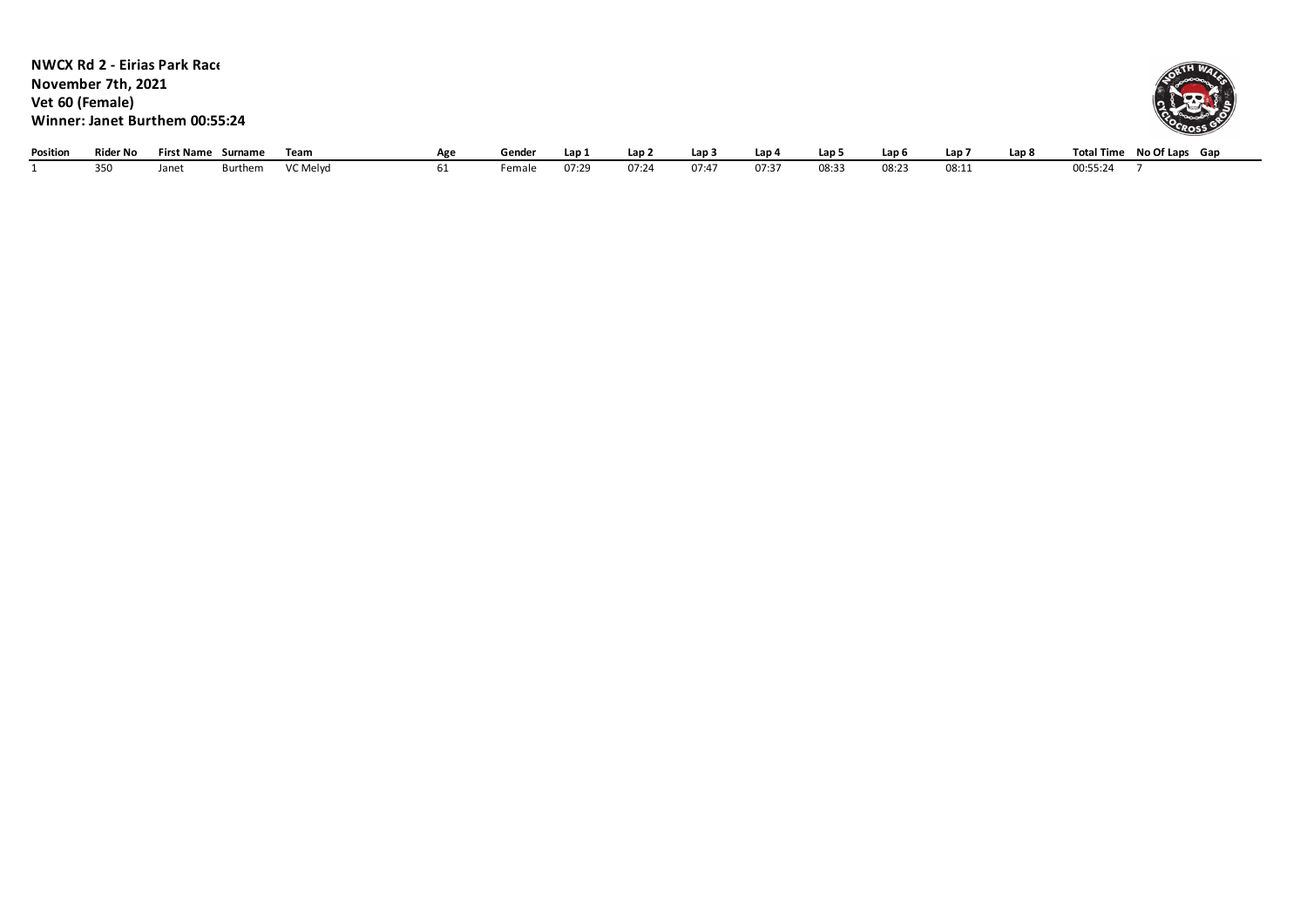| <b>Position</b> | <b>Rider No</b>                       | <b>First Name</b>                                                     | Surname | Team | Age | Gender | Lap 1 | Lap <sub>2</sub> | Lap 3 | Lap 4 | Lap 5 | Lap 6 | Lap 7 | Lap <sub>8</sub> | Total Time No Of Laps Gap  |
|-----------------|---------------------------------------|-----------------------------------------------------------------------|---------|------|-----|--------|-------|------------------|-------|-------|-------|-------|-------|------------------|----------------------------|
|                 | November 7th, 2021<br>Vet 60 (Female) | <b>NWCX Rd 2 - Eirias Park Race</b><br>Winner: Janet Burthem 00:55:24 |         |      |     |        |       |                  |       |       |       |       |       |                  | ORTH WAY<br><b>COCROSS</b> |
|                 |                                       |                                                                       |         |      |     |        |       |                  |       |       |       |       |       |                  |                            |

1 350 Janet Burthem VC Melyd 61 Female 07:29 07:24 07:47 07:37 08:33 08:23 08:11 00:55:24 7